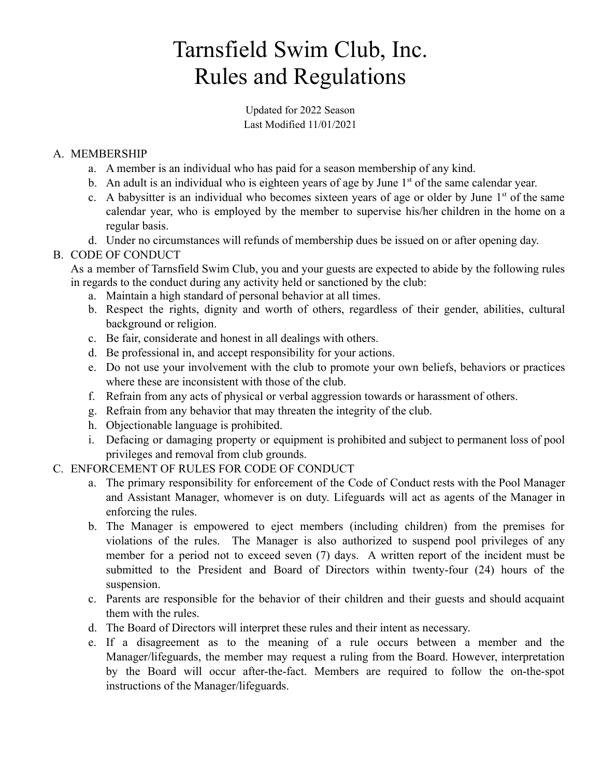# Tarnsfield Swim Club, Inc. Rules and Regulations

Updated for 2022 Season Last Modified 11/01/2021

### A. MEMBERSHIP

- a. A member is an individual who has paid for a season membership of any kind.
- b. An adult is an individual who is eighteen years of age by June  $1<sup>st</sup>$  of the same calendar year.
- c. A babysitter is an individual who becomes sixteen years of age or older by June  $1<sup>st</sup>$  of the same calendar year, who is employed by the member to supervise his/her children in the home on a regular basis.
- d. Under no circumstances will refunds of membership dues be issued on or after opening day.

#### B. CODE OF CONDUCT

As a member of Tarnsfield Swim Club, you and your guests are expected to abide by the following rules in regards to the conduct during any activity held or sanctioned by the club:

- a. Maintain a high standard of personal behavior at all times.
- b. Respect the rights, dignity and worth of others, regardless of their gender, abilities, cultural background or religion.
- c. Be fair, considerate and honest in all dealings with others.
- d. Be professional in, and accept responsibility for your actions.
- e. Do not use your involvement with the club to promote your own beliefs, behaviors or practices where these are inconsistent with those of the club.
- f. Refrain from any acts of physical or verbal aggression towards or harassment of others.
- g. Refrain from any behavior that may threaten the integrity of the club.
- h. Objectionable language is prohibited.
- i. Defacing or damaging property or equipment is prohibited and subject to permanent loss of pool privileges and removal from club grounds.
- C. ENFORCEMENT OF RULES FOR CODE OF CONDUCT
	- a. The primary responsibility for enforcement of the Code of Conduct rests with the Pool Manager and Assistant Manager, whomever is on duty. Lifeguards will act as agents of the Manager in enforcing the rules.
	- b. The Manager is empowered to eject members (including children) from the premises for violations of the rules. The Manager is also authorized to suspend pool privileges of any member for a period not to exceed seven (7) days. A written report of the incident must be submitted to the President and Board of Directors within twenty-four (24) hours of the suspension.
	- c. Parents are responsible for the behavior of their children and their guests and should acquaint them with the rules.
	- d. The Board of Directors will interpret these rules and their intent as necessary.
	- e. If a disagreement as to the meaning of a rule occurs between a member and the Manager/lifeguards, the member may request a ruling from the Board. However, interpretation by the Board will occur after-the-fact. Members are required to follow the on-the-spot instructions of the Manager/lifeguards.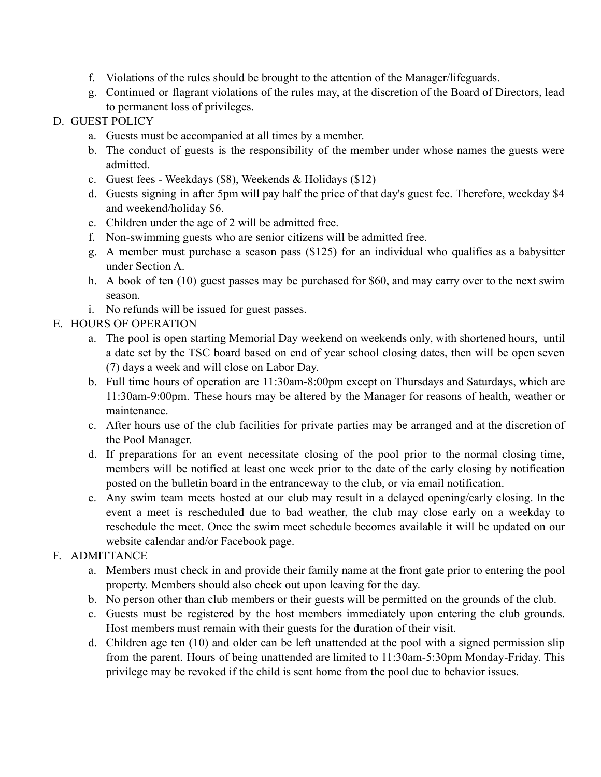- f. Violations of the rules should be brought to the attention of the Manager/lifeguards.
- g. Continued or flagrant violations of the rules may, at the discretion of the Board of Directors, lead to permanent loss of privileges.

#### D. GUEST POLICY

- a. Guests must be accompanied at all times by a member.
- b. The conduct of guests is the responsibility of the member under whose names the guests were admitted.
- c. Guest fees Weekdays (\$8), Weekends & Holidays (\$12)
- d. Guests signing in after 5pm will pay half the price of that day's guest fee. Therefore, weekday \$4 and weekend/holiday \$6.
- e. Children under the age of 2 will be admitted free.
- f. Non-swimming guests who are senior citizens will be admitted free.
- g. A member must purchase a season pass (\$125) for an individual who qualifies as a babysitter under Section A.
- h. A book of ten (10) guest passes may be purchased for \$60, and may carry over to the next swim season.
- i. No refunds will be issued for guest passes.

#### E. HOURS OF OPERATION

- a. The pool is open starting Memorial Day weekend on weekends only, with shortened hours, until a date set by the TSC board based on end of year school closing dates, then will be open seven (7) days a week and will close on Labor Day.
- b. Full time hours of operation are 11:30am-8:00pm except on Thursdays and Saturdays, which are 11:30am-9:00pm. These hours may be altered by the Manager for reasons of health, weather or maintenance.
- c. After hours use of the club facilities for private parties may be arranged and at the discretion of the Pool Manager.
- d. If preparations for an event necessitate closing of the pool prior to the normal closing time, members will be notified at least one week prior to the date of the early closing by notification posted on the bulletin board in the entranceway to the club, or via email notification.
- e. Any swim team meets hosted at our club may result in a delayed opening/early closing. In the event a meet is rescheduled due to bad weather, the club may close early on a weekday to reschedule the meet. Once the swim meet schedule becomes available it will be updated on our website calendar and/or Facebook page.

## F. ADMITTANCE

- a. Members must check in and provide their family name at the front gate prior to entering the pool property. Members should also check out upon leaving for the day.
- b. No person other than club members or their guests will be permitted on the grounds of the club.
- c. Guests must be registered by the host members immediately upon entering the club grounds. Host members must remain with their guests for the duration of their visit.
- d. Children age ten (10) and older can be left unattended at the pool with a signed permission slip from the parent. Hours of being unattended are limited to 11:30am-5:30pm Monday-Friday. This privilege may be revoked if the child is sent home from the pool due to behavior issues.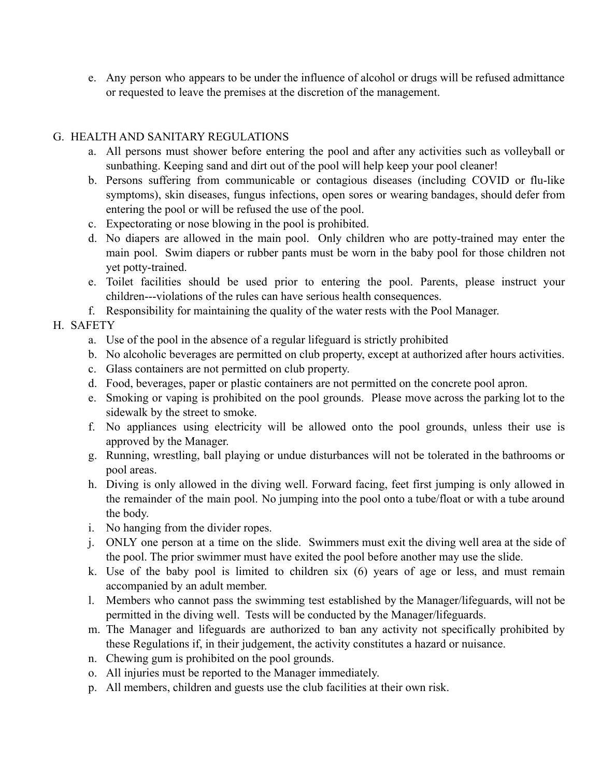e. Any person who appears to be under the influence of alcohol or drugs will be refused admittance or requested to leave the premises at the discretion of the management.

#### G. HEALTH AND SANITARY REGULATIONS

- a. All persons must shower before entering the pool and after any activities such as volleyball or sunbathing. Keeping sand and dirt out of the pool will help keep your pool cleaner!
- b. Persons suffering from communicable or contagious diseases (including COVID or flu-like symptoms), skin diseases, fungus infections, open sores or wearing bandages, should defer from entering the pool or will be refused the use of the pool.
- c. Expectorating or nose blowing in the pool is prohibited.
- d. No diapers are allowed in the main pool. Only children who are potty-trained may enter the main pool. Swim diapers or rubber pants must be worn in the baby pool for those children not yet potty-trained.
- e. Toilet facilities should be used prior to entering the pool. Parents, please instruct your children---violations of the rules can have serious health consequences.
- f. Responsibility for maintaining the quality of the water rests with the Pool Manager.

#### H. SAFETY

- a. Use of the pool in the absence of a regular lifeguard is strictly prohibited
- b. No alcoholic beverages are permitted on club property, except at authorized after hours activities.
- c. Glass containers are not permitted on club property.
- d. Food, beverages, paper or plastic containers are not permitted on the concrete pool apron.
- e. Smoking or vaping is prohibited on the pool grounds. Please move across the parking lot to the sidewalk by the street to smoke.
- f. No appliances using electricity will be allowed onto the pool grounds, unless their use is approved by the Manager.
- g. Running, wrestling, ball playing or undue disturbances will not be tolerated in the bathrooms or pool areas.
- h. Diving is only allowed in the diving well. Forward facing, feet first jumping is only allowed in the remainder of the main pool. No jumping into the pool onto a tube/float or with a tube around the body.
- i. No hanging from the divider ropes.
- j. ONLY one person at a time on the slide. Swimmers must exit the diving well area at the side of the pool. The prior swimmer must have exited the pool before another may use the slide.
- k. Use of the baby pool is limited to children six (6) years of age or less, and must remain accompanied by an adult member.
- l. Members who cannot pass the swimming test established by the Manager/lifeguards, will not be permitted in the diving well. Tests will be conducted by the Manager/lifeguards.
- m. The Manager and lifeguards are authorized to ban any activity not specifically prohibited by these Regulations if, in their judgement, the activity constitutes a hazard or nuisance.
- n. Chewing gum is prohibited on the pool grounds.
- o. All injuries must be reported to the Manager immediately.
- p. All members, children and guests use the club facilities at their own risk.